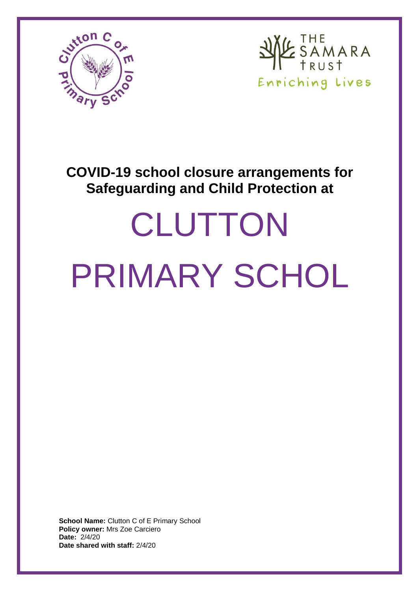



# **COVID-19 school closure arrangements for Safeguarding and Child Protection at**

# **CLUTTON** PRIMARY SCHOL

**School Name:** Clutton C of E Primary School **Policy owner:** Mrs Zoe Carciero **Date:** 2/4/20 **Date shared with staff:** 2/4/20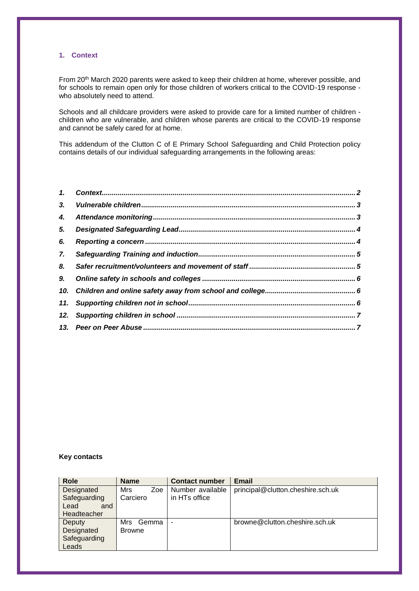### <span id="page-1-0"></span>**1. Context**

From 20<sup>th</sup> March 2020 parents were asked to keep their children at home, wherever possible, and for schools to remain open only for those children of workers critical to the COVID-19 response who absolutely need to attend.

Schools and all childcare providers were asked to provide care for a limited number of children children who are vulnerable, and children whose parents are critical to the COVID-19 response and cannot be safely cared for at home.

This addendum of the Clutton C of E Primary School Safeguarding and Child Protection policy contains details of our individual safeguarding arrangements in the following areas:

| $\mathbf{1}$ |  |
|--------------|--|
| 3.           |  |
| 4.           |  |
| 5.           |  |
| 6.           |  |
| 7.           |  |
| 8.           |  |
| 9.           |  |
| 10.          |  |
|              |  |
| 12.          |  |
|              |  |

## **Key contacts**

| <b>Role</b>  | <b>Name</b>   | <b>Contact number</b> | <b>Email</b>                      |
|--------------|---------------|-----------------------|-----------------------------------|
| Designated   | Mrs<br>Zoe    | Number available      | principal@clutton.cheshire.sch.uk |
| Safeguarding | Carciero      | in HTs office         |                                   |
| Lead<br>and  |               |                       |                                   |
| Headteacher  |               |                       |                                   |
| Deputy       | Mrs<br>Gemma  | $\blacksquare$        | browne@clutton.cheshire.sch.uk    |
| Designated   | <b>Browne</b> |                       |                                   |
| Safeguarding |               |                       |                                   |
| Leads        |               |                       |                                   |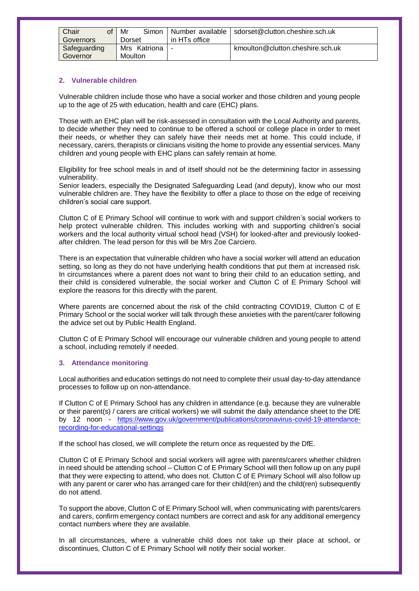| Chair<br>of  |        | Mr      |                | Simon   Number available | sdorset@clutton.cheshire.sch.uk  |
|--------------|--------|---------|----------------|--------------------------|----------------------------------|
|              |        |         |                |                          |                                  |
| Governors    | Dorset |         | in HTs office  |                          |                                  |
|              |        |         |                |                          |                                  |
| Safeguarding |        |         | Mrs Katriona I |                          | kmoulton@clutton.cheshire.sch.uk |
|              |        |         |                |                          |                                  |
| Governor     |        | Moulton |                |                          |                                  |
|              |        |         |                |                          |                                  |

#### <span id="page-2-0"></span>**2. Vulnerable children**

Vulnerable children include those who have a social worker and those children and young people up to the age of 25 with education, health and care (EHC) plans.

Those with an EHC plan will be risk-assessed in consultation with the Local Authority and parents, to decide whether they need to continue to be offered a school or college place in order to meet their needs, or whether they can safely have their needs met at home. This could include, if necessary, carers, therapists or clinicians visiting the home to provide any essential services. Many children and young people with EHC plans can safely remain at home.

Eligibility for free school meals in and of itself should not be the determining factor in assessing vulnerability.

Senior leaders, especially the Designated Safeguarding Lead (and deputy), know who our most vulnerable children are. They have the flexibility to offer a place to those on the edge of receiving children's social care support.

Clutton C of E Primary School will continue to work with and support children's social workers to help protect vulnerable children. This includes working with and supporting children's social workers and the local authority virtual school head (VSH) for looked-after and previously lookedafter children. The lead person for this will be Mrs Zoe Carciero.

There is an expectation that vulnerable children who have a social worker will attend an education setting, so long as they do not have underlying health conditions that put them at increased risk. In circumstances where a parent does not want to bring their child to an education setting, and their child is considered vulnerable, the social worker and Clutton C of E Primary School will explore the reasons for this directly with the parent.

Where parents are concerned about the risk of the child contracting COVID19, Clutton C of E Primary School or the social worker will talk through these anxieties with the parent/carer following the advice set out by Public Health England.

Clutton C of E Primary School will encourage our vulnerable children and young people to attend a school, including remotely if needed.

#### <span id="page-2-1"></span>**3. Attendance monitoring**

Local authorities and education settings do not need to complete their usual day-to-day attendance processes to follow up on non-attendance.

If Clutton C of E Primary School has any children in attendance (e.g. because they are vulnerable or their parent(s) / carers are critical workers) we will submit the daily attendance sheet to the DfE by 12 noon - [https://www.gov.uk/government/publications/coronavirus-covid-19-attendance](https://www.gov.uk/government/publications/coronavirus-covid-19-attendance-recording-for-educational-settings)[recording-for-educational-settings](https://www.gov.uk/government/publications/coronavirus-covid-19-attendance-recording-for-educational-settings)

If the school has closed, we will complete the return once as requested by the DfE.

Clutton C of E Primary School and social workers will agree with parents/carers whether children in need should be attending school – Clutton C of E Primary School will then follow up on any pupil that they were expecting to attend, who does not. Clutton C of E Primary School will also follow up with any parent or carer who has arranged care for their child(ren) and the child(ren) subsequently do not attend.

To support the above, Clutton C of E Primary School will, when communicating with parents/carers and carers, confirm emergency contact numbers are correct and ask for any additional emergency contact numbers where they are available.

In all circumstances, where a vulnerable child does not take up their place at school, or discontinues, Clutton C of E Primary School will notify their social worker.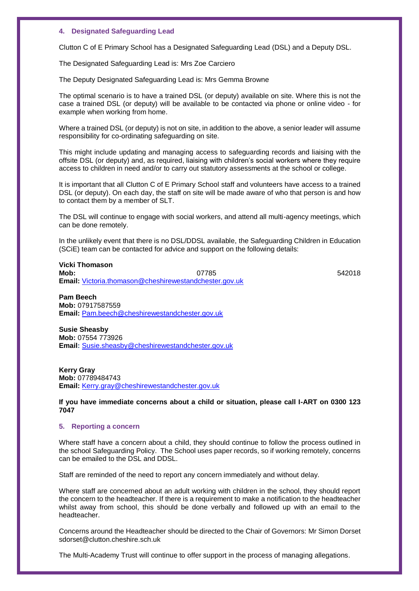#### <span id="page-3-0"></span>**4. Designated Safeguarding Lead**

Clutton C of E Primary School has a Designated Safeguarding Lead (DSL) and a Deputy DSL.

The Designated Safeguarding Lead is: Mrs Zoe Carciero

The Deputy Designated Safeguarding Lead is: Mrs Gemma Browne

The optimal scenario is to have a trained DSL (or deputy) available on site. Where this is not the case a trained DSL (or deputy) will be available to be contacted via phone or online video - for example when working from home.

Where a trained DSL (or deputy) is not on site, in addition to the above, a senior leader will assume responsibility for co-ordinating safeguarding on site.

This might include updating and managing access to safeguarding records and liaising with the offsite DSL (or deputy) and, as required, liaising with children's social workers where they require access to children in need and/or to carry out statutory assessments at the school or college.

It is important that all Clutton C of E Primary School staff and volunteers have access to a trained DSL (or deputy). On each day, the staff on site will be made aware of who that person is and how to contact them by a member of SLT.

The DSL will continue to engage with social workers, and attend all multi-agency meetings, which can be done remotely.

In the unlikely event that there is no DSL/DDSL available, the Safeguarding Children in Education (SCiE) team can be contacted for advice and support on the following details:

**Vicki Thomason Mob:** 07785 542018 **Email:** [Victoria.thomason@cheshirewestandchester.gov.uk](mailto:Victoria.thomason@cheshirewestandchester.gov.uk)

**Pam Beech Mob:** 07917587559 **Email:** [Pam.beech@cheshirewestandchester.gov.uk](mailto:Pam.beech@cheshirewestandchester.gov.uk)

**Susie Sheasby Mob:** 07554 773926 **Email:** [Susie.sheasby@cheshirewestandchester.gov.uk](mailto:Susie.sheasby@cheshirewestandchester.gov.uk)

**Kerry Gray Mob:** 07789484743 **Email:** [Kerry.gray@cheshirewestandchester.gov.uk](mailto:Kerry.gray@cheshirewestandchester.gov.uk)

**If you have immediate concerns about a child or situation, please call I-ART on 0300 123 7047**

#### <span id="page-3-1"></span>**5. Reporting a concern**

Where staff have a concern about a child, they should continue to follow the process outlined in the school Safeguarding Policy. The School uses paper records, so if working remotely, concerns can be emailed to the DSL and DDSL.

Staff are reminded of the need to report any concern immediately and without delay.

Where staff are concerned about an adult working with children in the school, they should report the concern to the headteacher. If there is a requirement to make a notification to the headteacher whilst away from school, this should be done verbally and followed up with an email to the headteacher.

Concerns around the Headteacher should be directed to the Chair of Governors: Mr Simon Dorset sdorset@clutton.cheshire.sch.uk

The Multi-Academy Trust will continue to offer support in the process of managing allegations.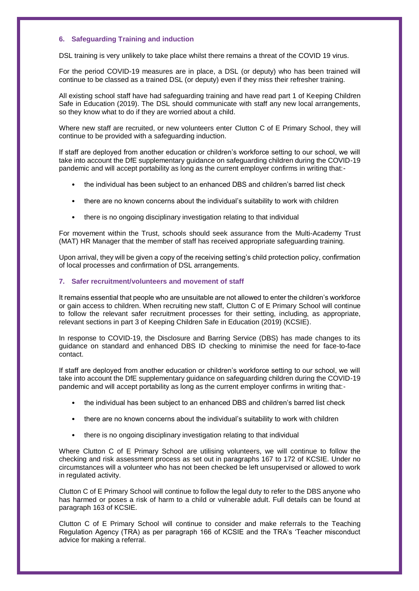#### <span id="page-4-0"></span>**6. Safeguarding Training and induction**

DSL training is very unlikely to take place whilst there remains a threat of the COVID 19 virus.

For the period COVID-19 measures are in place, a DSL (or deputy) who has been trained will continue to be classed as a trained DSL (or deputy) even if they miss their refresher training.

All existing school staff have had safeguarding training and have read part 1 of Keeping Children Safe in Education (2019). The DSL should communicate with staff any new local arrangements, so they know what to do if they are worried about a child.

Where new staff are recruited, or new volunteers enter Clutton C of E Primary School, they will continue to be provided with a safeguarding induction.

If staff are deployed from another education or children's workforce setting to our school, we will take into account the DfE supplementary guidance on safeguarding children during the COVID-19 pandemic and will accept portability as long as the current employer confirms in writing that:-

- the individual has been subject to an enhanced DBS and children's barred list check
- there are no known concerns about the individual's suitability to work with children
- there is no ongoing disciplinary investigation relating to that individual

For movement within the Trust, schools should seek assurance from the Multi-Academy Trust (MAT) HR Manager that the member of staff has received appropriate safeguarding training.

Upon arrival, they will be given a copy of the receiving setting's child protection policy, confirmation of local processes and confirmation of DSL arrangements.

#### <span id="page-4-1"></span>**7. Safer recruitment/volunteers and movement of staff**

It remains essential that people who are unsuitable are not allowed to enter the children's workforce or gain access to children. When recruiting new staff, Clutton C of E Primary School will continue to follow the relevant safer recruitment processes for their setting, including, as appropriate, relevant sections in part 3 of Keeping Children Safe in Education (2019) (KCSIE).

In response to COVID-19, the Disclosure and Barring Service (DBS) has made changes to its guidance on standard and enhanced DBS ID checking to minimise the need for face-to-face contact.

If staff are deployed from another education or children's workforce setting to our school, we will take into account the DfE supplementary guidance on safeguarding children during the COVID-19 pandemic and will accept portability as long as the current employer confirms in writing that:-

- the individual has been subject to an enhanced DBS and children's barred list check
- there are no known concerns about the individual's suitability to work with children
- there is no ongoing disciplinary investigation relating to that individual

Where Clutton C of E Primary School are utilising volunteers, we will continue to follow the checking and risk assessment process as set out in paragraphs 167 to 172 of KCSIE. Under no circumstances will a volunteer who has not been checked be left unsupervised or allowed to work in regulated activity.

Clutton C of E Primary School will continue to follow the legal duty to refer to the DBS anyone who has harmed or poses a risk of harm to a child or vulnerable adult. Full details can be found at paragraph 163 of KCSIE.

Clutton C of E Primary School will continue to consider and make referrals to the Teaching Regulation Agency (TRA) as per paragraph 166 of KCSIE and the TRA's 'Teacher misconduct advice for making a referral.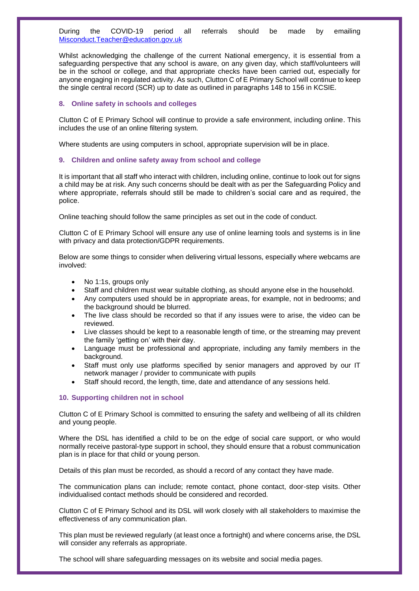During the COVID-19 period all referrals should be made by emailing [Misconduct.Teacher@education.gov.uk](mailto:Misconduct.Teacher@education.gov.uk)

Whilst acknowledging the challenge of the current National emergency, it is essential from a safeguarding perspective that any school is aware, on any given day, which staff/volunteers will be in the school or college, and that appropriate checks have been carried out, especially for anyone engaging in regulated activity. As such, Clutton C of E Primary School will continue to keep the single central record (SCR) up to date as outlined in paragraphs 148 to 156 in KCSIE.

#### <span id="page-5-0"></span>**8. Online safety in schools and colleges**

Clutton C of E Primary School will continue to provide a safe environment, including online. This includes the use of an online filtering system.

Where students are using computers in school, appropriate supervision will be in place.

#### <span id="page-5-1"></span>**9. Children and online safety away from school and college**

It is important that all staff who interact with children, including online, continue to look out for signs a child may be at risk. Any such concerns should be dealt with as per the Safeguarding Policy and where appropriate, referrals should still be made to children's social care and as required, the police.

Online teaching should follow the same principles as set out in the code of conduct.

Clutton C of E Primary School will ensure any use of online learning tools and systems is in line with privacy and data protection/GDPR requirements.

Below are some things to consider when delivering virtual lessons, especially where webcams are involved:

- No 1:1s, groups only
- Staff and children must wear suitable clothing, as should anyone else in the household.
- Any computers used should be in appropriate areas, for example, not in bedrooms; and the background should be blurred.
- The live class should be recorded so that if any issues were to arise, the video can be reviewed.
- Live classes should be kept to a reasonable length of time, or the streaming may prevent the family 'getting on' with their day.
- Language must be professional and appropriate, including any family members in the background.
- Staff must only use platforms specified by senior managers and approved by our IT network manager / provider to communicate with pupils
- Staff should record, the length, time, date and attendance of any sessions held.

#### <span id="page-5-2"></span>**10. Supporting children not in school**

Clutton C of E Primary School is committed to ensuring the safety and wellbeing of all its children and young people.

Where the DSL has identified a child to be on the edge of social care support, or who would normally receive pastoral-type support in school, they should ensure that a robust communication plan is in place for that child or young person.

Details of this plan must be recorded, as should a record of any contact they have made.

The communication plans can include; remote contact, phone contact, door-step visits. Other individualised contact methods should be considered and recorded.

Clutton C of E Primary School and its DSL will work closely with all stakeholders to maximise the effectiveness of any communication plan.

This plan must be reviewed regularly (at least once a fortnight) and where concerns arise, the DSL will consider any referrals as appropriate.

The school will share safeguarding messages on its website and social media pages.